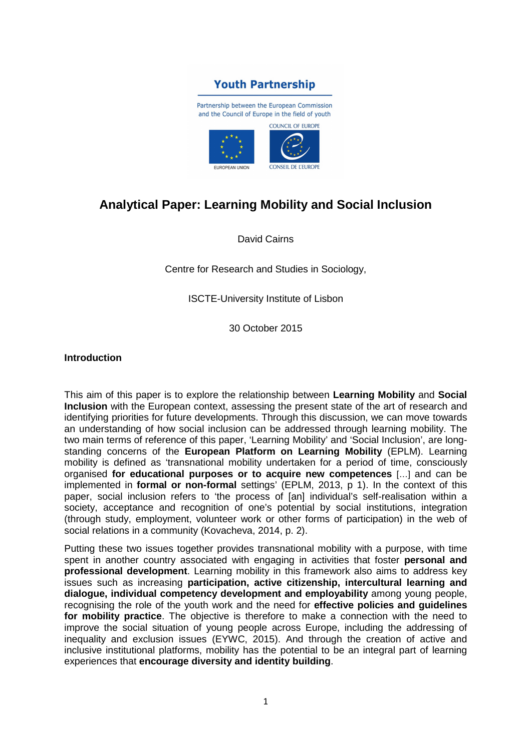

# **Analytical Paper: Learning Mobility and Social Inclusion**

David Cairns

Centre for Research and Studies in Sociology,

ISCTE-University Institute of Lisbon

30 October 2015

#### **Introduction**

This aim of this paper is to explore the relationship between **Learning Mobility** and **Social Inclusion** with the European context, assessing the present state of the art of research and identifying priorities for future developments. Through this discussion, we can move towards an understanding of how social inclusion can be addressed through learning mobility. The two main terms of reference of this paper, 'Learning Mobility' and 'Social Inclusion', are longstanding concerns of the **European Platform on Learning Mobility** (EPLM). Learning mobility is defined as 'transnational mobility undertaken for a period of time, consciously organised **for educational purposes or to acquire new competences** […] and can be implemented in **formal or non-formal** settings' (EPLM, 2013, p 1). In the context of this paper, social inclusion refers to 'the process of [an] individual's self-realisation within a society, acceptance and recognition of one's potential by social institutions, integration (through study, employment, volunteer work or other forms of participation) in the web of social relations in a community (Kovacheva, 2014, p. 2).

Putting these two issues together provides transnational mobility with a purpose, with time spent in another country associated with engaging in activities that foster **personal and professional development**. Learning mobility in this framework also aims to address key issues such as increasing **participation, active citizenship, intercultural learning and dialogue, individual competency development and employability** among young people, recognising the role of the youth work and the need for **effective policies and guidelines for mobility practice**. The objective is therefore to make a connection with the need to improve the social situation of young people across Europe, including the addressing of inequality and exclusion issues (EYWC, 2015). And through the creation of active and inclusive institutional platforms, mobility has the potential to be an integral part of learning experiences that **encourage diversity and identity building**.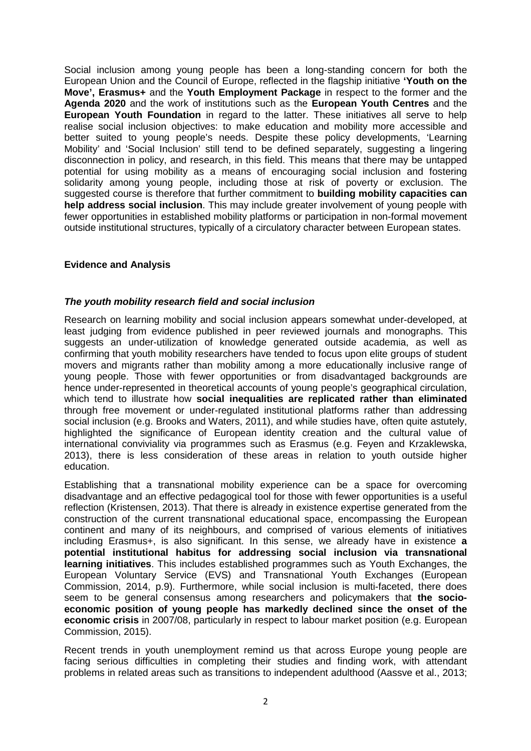Social inclusion among young people has been a long-standing concern for both the European Union and the Council of Europe, reflected in the flagship initiative **'Youth on the Move', Erasmus+** and the **Youth Employment Package** in respect to the former and the **Agenda 2020** and the work of institutions such as the **European Youth Centres** and the **European Youth Foundation** in regard to the latter. These initiatives all serve to help realise social inclusion objectives: to make education and mobility more accessible and better suited to young people's needs. Despite these policy developments, 'Learning Mobility' and 'Social Inclusion' still tend to be defined separately, suggesting a lingering disconnection in policy, and research, in this field. This means that there may be untapped potential for using mobility as a means of encouraging social inclusion and fostering solidarity among young people, including those at risk of poverty or exclusion. The suggested course is therefore that further commitment to **building mobility capacities can help address social inclusion**. This may include greater involvement of young people with fewer opportunities in established mobility platforms or participation in non-formal movement outside institutional structures, typically of a circulatory character between European states.

## **Evidence and Analysis**

## **The youth mobility research field and social inclusion**

Research on learning mobility and social inclusion appears somewhat under-developed, at least judging from evidence published in peer reviewed journals and monographs. This suggests an under-utilization of knowledge generated outside academia, as well as confirming that youth mobility researchers have tended to focus upon elite groups of student movers and migrants rather than mobility among a more educationally inclusive range of young people. Those with fewer opportunities or from disadvantaged backgrounds are hence under-represented in theoretical accounts of young people's geographical circulation, which tend to illustrate how **social inequalities are replicated rather than eliminated** through free movement or under-regulated institutional platforms rather than addressing social inclusion (e.g. Brooks and Waters, 2011), and while studies have, often quite astutely, highlighted the significance of European identity creation and the cultural value of international conviviality via programmes such as Erasmus (e.g. Feyen and Krzaklewska, 2013), there is less consideration of these areas in relation to youth outside higher education.

Establishing that a transnational mobility experience can be a space for overcoming disadvantage and an effective pedagogical tool for those with fewer opportunities is a useful reflection (Kristensen, 2013). That there is already in existence expertise generated from the construction of the current transnational educational space, encompassing the European continent and many of its neighbours, and comprised of various elements of initiatives including Erasmus+, is also significant. In this sense, we already have in existence **a potential institutional habitus for addressing social inclusion via transnational learning initiatives**. This includes established programmes such as Youth Exchanges, the European Voluntary Service (EVS) and Transnational Youth Exchanges (European Commission, 2014, p.9). Furthermore, while social inclusion is multi-faceted, there does seem to be general consensus among researchers and policymakers that **the socioeconomic position of young people has markedly declined since the onset of the economic crisis** in 2007/08, particularly in respect to labour market position (e.g. European Commission, 2015).

Recent trends in youth unemployment remind us that across Europe young people are facing serious difficulties in completing their studies and finding work, with attendant problems in related areas such as transitions to independent adulthood (Aassve et al., 2013;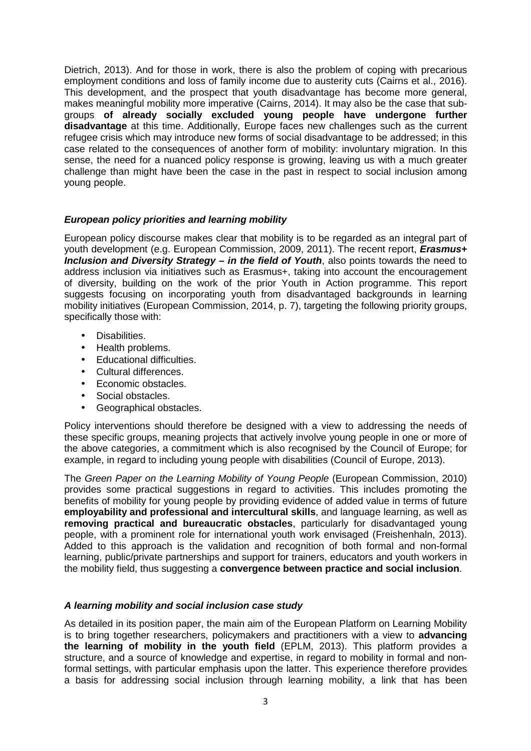Dietrich, 2013). And for those in work, there is also the problem of coping with precarious employment conditions and loss of family income due to austerity cuts (Cairns et al., 2016). This development, and the prospect that youth disadvantage has become more general, makes meaningful mobility more imperative (Cairns, 2014). It may also be the case that subgroups **of already socially excluded young people have undergone further disadvantage** at this time. Additionally, Europe faces new challenges such as the current refugee crisis which may introduce new forms of social disadvantage to be addressed; in this case related to the consequences of another form of mobility: involuntary migration. In this sense, the need for a nuanced policy response is growing, leaving us with a much greater challenge than might have been the case in the past in respect to social inclusion among young people.

## **European policy priorities and learning mobility**

European policy discourse makes clear that mobility is to be regarded as an integral part of youth development (e.g. European Commission, 2009, 2011). The recent report, **Erasmus+ Inclusion and Diversity Strategy – in the field of Youth**, also points towards the need to address inclusion via initiatives such as Erasmus+, taking into account the encouragement of diversity, building on the work of the prior Youth in Action programme. This report suggests focusing on incorporating youth from disadvantaged backgrounds in learning mobility initiatives (European Commission, 2014, p. 7), targeting the following priority groups, specifically those with:

- Disabilities.
- Health problems.
- Educational difficulties.
- Cultural differences.
- Economic obstacles.
- Social obstacles.
- Geographical obstacles.

Policy interventions should therefore be designed with a view to addressing the needs of these specific groups, meaning projects that actively involve young people in one or more of the above categories, a commitment which is also recognised by the Council of Europe; for example, in regard to including young people with disabilities (Council of Europe, 2013).

The Green Paper on the Learning Mobility of Young People (European Commission, 2010) provides some practical suggestions in regard to activities. This includes promoting the benefits of mobility for young people by providing evidence of added value in terms of future **employability and professional and intercultural skills**, and language learning, as well as **removing practical and bureaucratic obstacles**, particularly for disadvantaged young people, with a prominent role for international youth work envisaged (Freishenhaln, 2013). Added to this approach is the validation and recognition of both formal and non-formal learning, public/private partnerships and support for trainers, educators and youth workers in the mobility field, thus suggesting a **convergence between practice and social inclusion**.

## **A learning mobility and social inclusion case study**

As detailed in its position paper, the main aim of the European Platform on Learning Mobility is to bring together researchers, policymakers and practitioners with a view to **advancing the learning of mobility in the youth field** (EPLM, 2013). This platform provides a structure, and a source of knowledge and expertise, in regard to mobility in formal and nonformal settings, with particular emphasis upon the latter. This experience therefore provides a basis for addressing social inclusion through learning mobility, a link that has been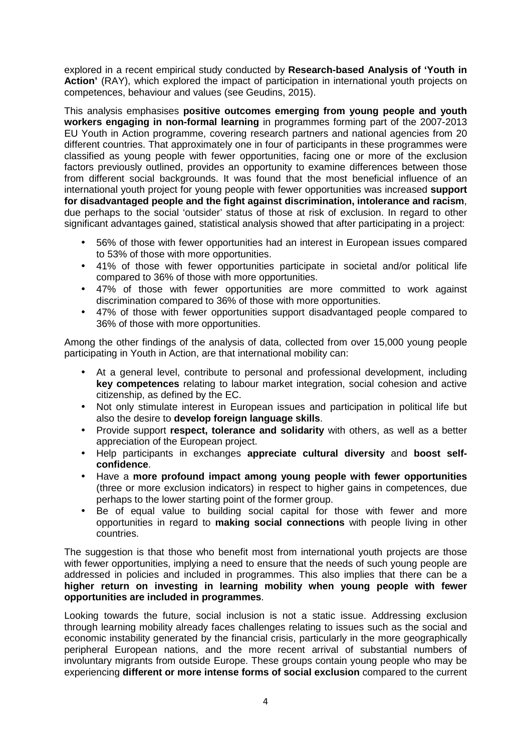explored in a recent empirical study conducted by **Research-based Analysis of 'Youth in Action'** (RAY), which explored the impact of participation in international youth projects on competences, behaviour and values (see Geudins, 2015).

This analysis emphasises **positive outcomes emerging from young people and youth workers engaging in non-formal learning** in programmes forming part of the 2007-2013 EU Youth in Action programme, covering research partners and national agencies from 20 different countries. That approximately one in four of participants in these programmes were classified as young people with fewer opportunities, facing one or more of the exclusion factors previously outlined, provides an opportunity to examine differences between those from different social backgrounds. It was found that the most beneficial influence of an international youth project for young people with fewer opportunities was increased **support for disadvantaged people and the fight against discrimination, intolerance and racism**, due perhaps to the social 'outsider' status of those at risk of exclusion. In regard to other significant advantages gained, statistical analysis showed that after participating in a project:

- 56% of those with fewer opportunities had an interest in European issues compared to 53% of those with more opportunities.
- 41% of those with fewer opportunities participate in societal and/or political life compared to 36% of those with more opportunities.
- 47% of those with fewer opportunities are more committed to work against discrimination compared to 36% of those with more opportunities.
- 47% of those with fewer opportunities support disadvantaged people compared to 36% of those with more opportunities.

Among the other findings of the analysis of data, collected from over 15,000 young people participating in Youth in Action, are that international mobility can:

- At a general level, contribute to personal and professional development, including **key competences** relating to labour market integration, social cohesion and active citizenship, as defined by the EC.
- Not only stimulate interest in European issues and participation in political life but also the desire to **develop foreign language skills**.
- Provide support **respect, tolerance and solidarity** with others, as well as a better appreciation of the European project.
- Help participants in exchanges **appreciate cultural diversity** and **boost selfconfidence**.
- Have a **more profound impact among young people with fewer opportunities** (three or more exclusion indicators) in respect to higher gains in competences, due perhaps to the lower starting point of the former group.
- Be of equal value to building social capital for those with fewer and more opportunities in regard to **making social connections** with people living in other countries.

The suggestion is that those who benefit most from international youth projects are those with fewer opportunities, implying a need to ensure that the needs of such young people are addressed in policies and included in programmes. This also implies that there can be a **higher return on investing in learning mobility when young people with fewer opportunities are included in programmes**.

Looking towards the future, social inclusion is not a static issue. Addressing exclusion through learning mobility already faces challenges relating to issues such as the social and economic instability generated by the financial crisis, particularly in the more geographically peripheral European nations, and the more recent arrival of substantial numbers of involuntary migrants from outside Europe. These groups contain young people who may be experiencing **different or more intense forms of social exclusion** compared to the current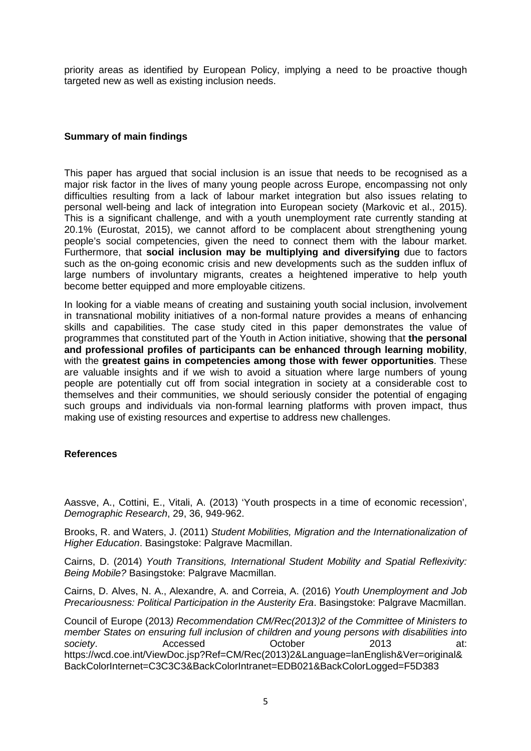priority areas as identified by European Policy, implying a need to be proactive though targeted new as well as existing inclusion needs.

## **Summary of main findings**

This paper has argued that social inclusion is an issue that needs to be recognised as a major risk factor in the lives of many young people across Europe, encompassing not only difficulties resulting from a lack of labour market integration but also issues relating to personal well-being and lack of integration into European society (Markovic et al., 2015). This is a significant challenge, and with a youth unemployment rate currently standing at 20.1% (Eurostat, 2015), we cannot afford to be complacent about strengthening young people's social competencies, given the need to connect them with the labour market. Furthermore, that **social inclusion may be multiplying and diversifying** due to factors such as the on-going economic crisis and new developments such as the sudden influx of large numbers of involuntary migrants, creates a heightened imperative to help youth become better equipped and more employable citizens.

In looking for a viable means of creating and sustaining youth social inclusion, involvement in transnational mobility initiatives of a non-formal nature provides a means of enhancing skills and capabilities. The case study cited in this paper demonstrates the value of programmes that constituted part of the Youth in Action initiative, showing that **the personal and professional profiles of participants can be enhanced through learning mobility**, with the **greatest gains in competencies among those with fewer opportunities**. These are valuable insights and if we wish to avoid a situation where large numbers of young people are potentially cut off from social integration in society at a considerable cost to themselves and their communities, we should seriously consider the potential of engaging such groups and individuals via non-formal learning platforms with proven impact, thus making use of existing resources and expertise to address new challenges.

## **References**

Aassve, A., Cottini, E., Vitali, A. (2013) 'Youth prospects in a time of economic recession', Demographic Research, 29, 36, 949-962.

Brooks, R. and Waters, J. (2011) Student Mobilities, Migration and the Internationalization of Higher Education. Basingstoke: Palgrave Macmillan.

Cairns, D. (2014) Youth Transitions, International Student Mobility and Spatial Reflexivity: Being Mobile? Basingstoke: Palgrave Macmillan.

Cairns, D. Alves, N. A., Alexandre, A. and Correia, A. (2016) Youth Unemployment and Job Precariousness: Political Participation in the Austerity Era. Basingstoke: Palgrave Macmillan.

Council of Europe (2013) Recommendation CM/Rec(2013)2 of the Committee of Ministers to member States on ensuring full inclusion of children and young persons with disabilities into society. **Accessed** Cotober 2013 at: https://wcd.coe.int/ViewDoc.jsp?Ref=CM/Rec(2013)2&Language=lanEnglish&Ver=original& BackColorInternet=C3C3C3&BackColorIntranet=EDB021&BackColorLogged=F5D383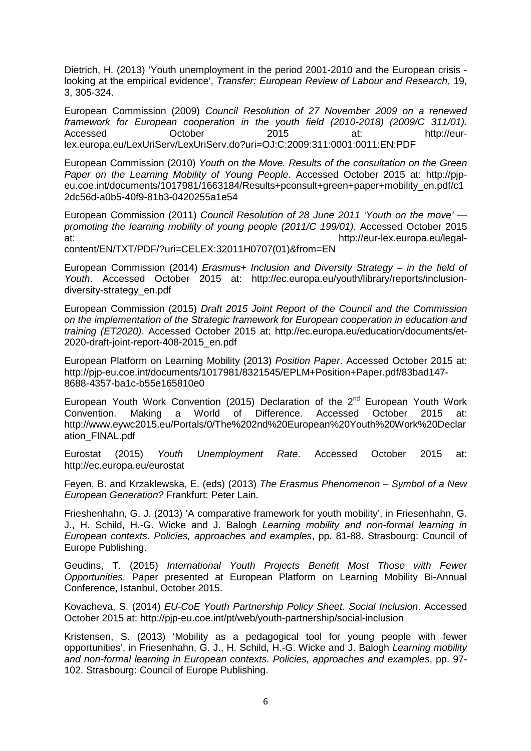Dietrich, H. (2013) 'Youth unemployment in the period 2001-2010 and the European crisis looking at the empirical evidence', Transfer: European Review of Labour and Research, 19, 3, 305-324.

European Commission (2009) Council Resolution of 27 November 2009 on a renewed framework for European cooperation in the youth field (2010-2018) (2009/C 311/01). Accessed October 2015 at: http://eurlex.europa.eu/LexUriServ/LexUriServ.do?uri=OJ:C:2009:311:0001:0011:EN:PDF

European Commission (2010) Youth on the Move. Results of the consultation on the Green Paper on the Learning Mobility of Young People. Accessed October 2015 at: http://pjpeu.coe.int/documents/1017981/1663184/Results+pconsult+green+paper+mobility\_en.pdf/c1 2dc56d-a0b5-40f9-81b3-0420255a1e54

European Commission (2011) Council Resolution of 28 June 2011 'Youth on the move' promoting the learning mobility of young people (2011/C 199/01). Accessed October 2015 at: http://eur-lex.europa.eu/legal-

content/EN/TXT/PDF/?uri=CELEX:32011H0707(01)&from=EN

European Commission (2014) Erasmus+ Inclusion and Diversity Strategy – in the field of Youth. Accessed October 2015 at: http://ec.europa.eu/youth/library/reports/inclusiondiversity-strategy\_en.pdf

European Commission (2015) Draft 2015 Joint Report of the Council and the Commission on the implementation of the Strategic framework for European cooperation in education and training (ET2020). Accessed October 2015 at: http://ec.europa.eu/education/documents/et-2020-draft-joint-report-408-2015\_en.pdf

European Platform on Learning Mobility (2013) Position Paper. Accessed October 2015 at: http://pjp-eu.coe.int/documents/1017981/8321545/EPLM+Position+Paper.pdf/83bad147- 8688-4357-ba1c-b55e165810e0

European Youth Work Convention (2015) Declaration of the  $2^{nd}$  European Youth Work Convention. Making a World of Difference. Accessed October 2015 at: http://www.eywc2015.eu/Portals/0/The%202nd%20European%20Youth%20Work%20Declar ation\_FINAL.pdf

Eurostat (2015) Youth Unemployment Rate. Accessed October 2015 at: http://ec.europa.eu/eurostat

Feyen, B. and Krzaklewska, E. (eds) (2013) The Erasmus Phenomenon – Symbol of a New European Generation? Frankfurt: Peter Lain.

Frieshenhahn, G. J. (2013) 'A comparative framework for youth mobility', in Friesenhahn, G. J., H. Schild, H.-G. Wicke and J. Balogh Learning mobility and non-formal learning in European contexts. Policies, approaches and examples, pp. 81-88. Strasbourg: Council of Europe Publishing.

Geudins, T. (2015) International Youth Projects Benefit Most Those with Fewer Opportunities. Paper presented at European Platform on Learning Mobility Bi-Annual Conference, Istanbul, October 2015.

Kovacheva, S. (2014) EU-CoE Youth Partnership Policy Sheet. Social Inclusion. Accessed October 2015 at: http://pjp-eu.coe.int/pt/web/youth-partnership/social-inclusion

Kristensen, S. (2013) 'Mobility as a pedagogical tool for young people with fewer opportunities', in Friesenhahn, G. J., H. Schild, H.-G. Wicke and J. Balogh Learning mobility and non-formal learning in European contexts. Policies, approaches and examples, pp. 97- 102. Strasbourg: Council of Europe Publishing.